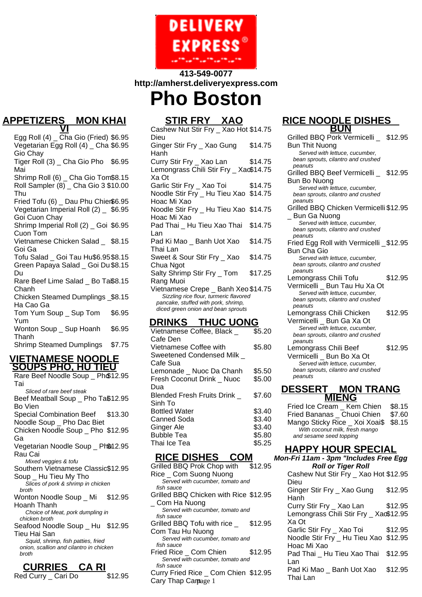

## **413-549-0077 http://amherst.deliveryexpress.com Pho Boston**

#### **APPETIZERS \_ MON KHAI VI**

Egg Roll  $(4)$   $\overline{Ch}$ a Gio (Fried) \$6.95 Vegetarian Egg Roll (4) \_ Cha \$6.95 Gio Chay Tiger Roll (3) \_ Cha Gio Pho \$6.95 Mai Shrimp Roll (6) \_ Cha Gio Tom\$8.15 Roll Sampler (8) \_ Cha Gio 3 \$10.00 Thu Fried Tofu (6) Dau Phu Chien\$6.95 Vegetarian Imperial Roll (2) \_ \$6.95 Goi Cuon Chay Shrimp Imperial Roll (2) \_ Goi \$6.95 Cuon Tom Vietnamese Chicken Salad \_ \$8.15 Goi Ga Tofu Salad \_ Goi Tau Hu\$6.95\$8.15 Green Papaya Salad \_ Goi Du \$8.15 Du Rare Beef Lime Salad \_ Bo Ta\$8.15 Chanh Chicken Steamed Dumplings \_ \$8.15 Ha Cao Ga Tom Yum Soup \_ Sup Tom Yum \$6.95 Wonton Soup \_ Sup Hoanh Thanh \$6.95 Shrimp Steamed Dumplings \$7.75

#### **VIETNAMESE NOODLE SOUPS PHO, HU TIEU**

Rare Beef Noodle Soup \_ Ph\$12.95 Tai Sliced of rare beef steak Beef Meatball Soup \_ Pho Ta\$12.95 Bo Vien Special Combination Beef Noodle Soup \_ Pho Dac Biet \$13.30 Chicken Noodle Soup \_ Pho \$12.95 Ga Vegetarian Noodle Soup \_ Ph\$12.95 Rau Cai Mixed veggies & tofu Southern Vietnamese Classic \$12.95 Soup \_ Hu Tieu My Tho Slices of pork & shrimp in chicken broth Wonton Noodle Soup \_ Mi Hoanh Thanh \$12.95 Choice of Meat, pork dumpling in chicken broth Seafood Noodle Soup \_ Hu \$12.95 Tieu Hai San Squid, shrimp, fish patties, fried onion, scallion and cilantro in chicken broth

### **CURRIES \_ CA RI** Red Curry \_ Cari Do \$12.95

# **STIR FRY \_ XAO**

Cashew Nut Stir Fry \_ Xao Hot \$14.75 Dieu Ginger Stir Fry \_ Xao Gung Hanh \$14.75 Curry Stir Fry \_ Xao Lan \$14.75 Lemongrass Chili Stir Fry \_ Xao \$14.75 Xa Ot Garlic Stir Fry \_ Xao Toi \$14.75 Noodle Stir Fry \_ Hu Tieu Xao \$14.75 Hoac Mi Xao Noodle Stir Fry \_ Hu Tieu Xao \$14.75 Hoac Mi Xao Pad Thai \_ Hu Tieu Xao Thai Lan \$14.75 Pad Ki Mao \_ Banh Uot Xao Thai Lan \$14.75 Sweet & Sour Stir Fry \_ Xao Chua Ngot \$14.75 Salty Shrimp Stir Fry \_ Tom Rang Muoi \$17.25 Vietnamese Crepe \_ Banh Xeo \$14.75 Sizzling rice flour, turmeric flavored pancake, stuffed with pork, shrimp, diced green onion and bean sprouts **DRINKS \_ THUC UONG** Vietnamese Coffee, Black \_  $$5.20$ 

| , .ou .amooo oomoo, Diaon         |        |
|-----------------------------------|--------|
| Cafe Den                          |        |
| Vietnamese Coffee with            | \$5.80 |
| Sweetened Condensed Milk          |        |
| Cafe Sua                          |        |
| Lemonade Nuoc Da Chanh            | \$5.50 |
| Fresh Coconut Drink _ Nuoc        | \$5.00 |
| Dua                               |        |
| <b>Blended Fresh Fruits Drink</b> | \$7.60 |
| Sinh To                           |        |
| <b>Bottled Water</b>              | \$3.40 |
| Canned Soda                       | \$3.40 |
| Ginger Ale                        | \$3.40 |
| <b>Bubble Tea</b>                 | \$5.80 |
| Thai Ice Tea                      | \$5.25 |
|                                   |        |

## **RICE DISHES \_ COM**

- Grilled BBQ Prok Chop with Rice \_ Com Suong Nuong \$12.95 Served with cucumber, tomato and fish sauce Grilled BBQ Chicken with Rice \$12.95 \_ Com Ha Nuong Served with cucumber, tomato and fish sauce Grilled BBQ Tofu with rice \_ Com Tau Hu Nuong \$12.95 Served with cucumber, tomato and fish sauce Fried Rice Com Chien \$12.95 Served with cucumber, tomato and fish sauce
- Curry Fried Rice \_ Com Chien \$12.95 Cary Thap Camage 1

#### **RICE NOODLE DISHES \_ BUN**

Grilled BBQ Pork Vermicelli \_ Bun Thit Nuong \$12.95 Served with lettuce, cucumber, bean sprouts, cilantro and crushed peanuts Grilled BBQ Beef Vermicelli \_ \$12.95 Bun Bo Nuong Served with lettuce, cucumber, bean sprouts, cilantro and crushed peanuts Grilled BBQ Chicken Vermicelli \$12.95 Bun Ga Nuong Served with lettuce, cucumber, bean sprouts, cilantro and crushed peanuts Fried Egg Roll with Vermicelli \_ \$12.95 Bun Cha Gio Served with lettuce, cucumber, bean sprouts, cilantro and crushed peanuts Lemongrass Chili Tofu Vermicelli \_ Bun Tau Hu Xa Ot \$12.95 Served with lettuce, cucumber, bean sprouts, cilantro and crushed peanuts Lemongrass Chili Chicken Vermicelli \_ Bun Ga Xa Ot \$12.95 Served with lettuce, cucumber, bean sprouts, cilantro and crushed peanuts Lemongrass Chili Beef Vermicelli \_ Bun Bo Xa Ot \$12.95 Served with lettuce, cucumber, bean sprouts, cilantro and crushed peanuts **DESSERT \_ MON TRANG**

| <b>MIENG</b>                          |        |  |
|---------------------------------------|--------|--|
| Fried Ice Cream Kem Chien             | \$8.15 |  |
| Fried Bananas Chuoi Chien             | \$7.60 |  |
| Mango Sticky Rice _ Xoi Xoai\$ \$8.15 |        |  |
| With coconut milk, fresh mango        |        |  |
| and sesame seed topping               |        |  |

### **HAPPY HOUR SPECIAL**

**Mon-Fri 11am - 3pm "Includes Free Egg Roll or Tiger Roll** Cashew Nut Stir Fry \_ Xao Hot \$12.95 Dieu Ginger Stir Fry \_ Xao Gung Hanh \$12.95 Curry Stir Fry \_ Xao Lan \$12.95 Lemongrass Chili Stir Fry \_ Xao \$12.95 Xa Ot Garlic Stir Fry \_ Xao Toi \$12.95 Noodle Stir Fry \_ Hu Tieu Xao \$12.95 Hoac Mi Xao Pad Thai \_ Hu Tieu Xao Thai Lan \$12.95 Pad Ki Mao \_ Banh Uot Xao Thai Lan \$12.95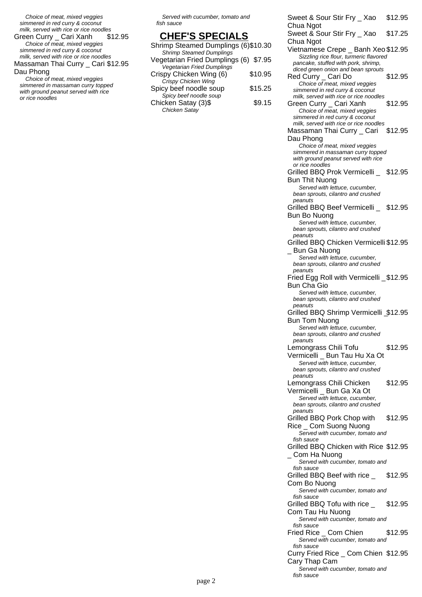Choice of meat, mixed veggies simmered in red curry & coconut

milk, served with rice or rice noodles<br>reen Curry \_ Cari Xanh \$12.95 Green Curry \_ Cari Xanh Choice of meat, mixed veggies simmered in red curry & coconut milk, served with rice or rice noodles Massaman Thai Curry \_ Cari \$12.95

Dau Phong

Choice of meat, mixed veggies simmered in massaman curry topped with ground peanut served with rice or rice noodles

Served with cucumber, tomato and fish sauce

### **CHEF'S SPECIALS**

| Shrimp Steamed Dumplings (6)\$10.30   |
|---------------------------------------|
|                                       |
| Vegetarian Fried Dumplings (6) \$7.95 |
|                                       |
| \$10.95                               |
|                                       |
| \$15.25                               |
|                                       |
| \$9.15                                |
|                                       |
|                                       |

Sweet & Sour Stir Fry \_ Xao Chua Ngot \$12.95 Sweet & Sour Stir Fry \_ Xao Chua Ngot \$17.25 Vietnamese Crepe \_ Banh Xeo \$12.95 Sizzling rice flour, turmeric flavored pancake, stuffed with pork, shrimp, diced green onion and bean sprouts Red Curry \_ Cari Do \$12.95 Choice of meat, mixed veggies simmered in red curry & coconut milk, served with rice or rice noodles Green Curry \_ Cari Xanh \$12.95 Choice of meat, mixed veggies simmered in red curry & coconut milk, served with rice or rice noodles Massaman Thai Curry \_ Cari Dau Phong \$12.95 Choice of meat, mixed veggies simmered in massaman curry topped with ground peanut served with rice or rice noodles Grilled BBQ Prok Vermicelli \_ \$12.95 Bun Thit Nuong Served with lettuce, cucumber, bean sprouts, cilantro and crushed peanuts Grilled BBQ Beef Vermicelli \_ \$12.95 Bun Bo Nuong Served with lettuce, cucumber, bean sprouts, cilantro and crushed peanuts Grilled BBQ Chicken Vermicelli \$12.95 \_ Bun Ga Nuong Served with lettuce, cucumber, bean sprouts, cilantro and crushed peanuts Fried Egg Roll with Vermicelli \_ \$12.95 Bun Cha Gio Served with lettuce, cucumber, bean sprouts, cilantro and crushed peanuts Grilled BBQ Shrimp Vermicelli \_ \$12.95 Bun Tom Nuong Served with lettuce, cucumber, bean sprouts, cilantro and crushed peanuts Lemongrass Chili Tofu Vermicelli \_ Bun Tau Hu Xa Ot \$12.95 Served with lettuce, cucumber, bean sprouts, cilantro and crushed peanuts Lemongrass Chili Chicken Vermicelli \_ Bun Ga Xa Ot \$12.95 Served with lettuce, cucumber, bean sprouts, cilantro and crushed peanuts Grilled BBQ Pork Chop with Rice \_ Com Suong Nuong \$12.95 Served with cucumber, tomato and fish sauce Grilled BBQ Chicken with Rice \$12.95 \_ Com Ha Nuong Served with cucumber, tomato and fish sauce Grilled BBQ Beef with rice \_ Com Bo Nuong \$12.95 Served with cucumber, tomato and fish sauce Grilled BBQ Tofu with rice \_ Com Tau Hu Nuong \$12.95 Served with cucumber, tomato and fish sauce Fried Rice Com Chien \$12.95 Served with cucumber, tomato and fish sauce Curry Fried Rice \_ Com Chien \$12.95 Cary Thap Cam

Served with cucumber, tomato and

fish sauce